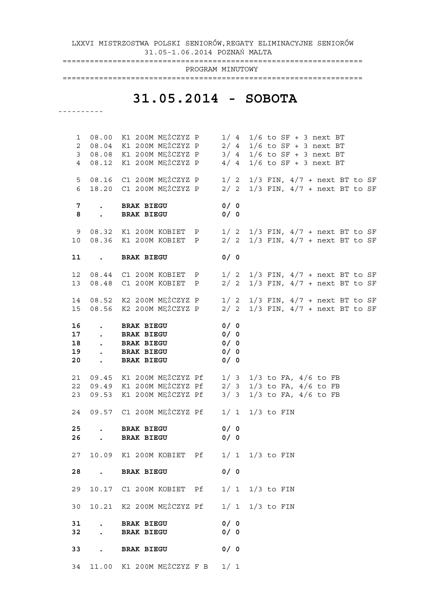LXXVI MISTRZOSTWA POLSKI SENIORÓW,REGATY ELIMINACYJNE SENIORÓW 31.05-1.06.2014 POZNAŃ MALTA

 ================================================================== PROGRAM MINUTOWY

==================================================================

# **31.05.2014 - SOBOTA**

----------

 1 08.00 K1 200M MĘŻCZYZ P 1/ 4 1/6 to SF + 3 next BT 2 08.04 K1 200M MĘŻCZYZ P 2/ 4 1/6 to SF + 3 next BT 3 08.08 K1 200M MĘŻCZYZ P 3/ 4 1/6 to SF + 3 next BT 4 08.12 K1 200M MĘŻCZYZ P 4/ 4 1/6 to SF + 3 next BT 5 08.16 C1 200M MĘŻCZYZ P 1/ 2 1/3 FIN, 4/7 + next BT to SF 6 18.20 C1 200M MĘŻCZYZ P 2/ 2 1/3 FIN, 4/7 + next BT to SF  **7 . BRAK BIEGU 0/ 0 8 . BRAK BIEGU 0/ 0**  9 08.32 K1 200M KOBIET P 1/ 2 1/3 FIN, 4/7 + next BT to SF 10 08.36 K1 200M KOBIET P 2/ 2 1/3 FIN, 4/7 + next BT to SF  **11 . BRAK BIEGU 0/ 0**  12 08.44 C1 200M KOBIET P 1/ 2 1/3 FIN, 4/7 + next BT to SF 13 08.48 C1 200M KOBIET P 2/ 2 1/3 FIN, 4/7 + next BT to SF 14 08.52 K2 200M MĘŻCZYZ P 1/ 2 1/3 FIN, 4/7 + next BT to SF 15 08.56 K2 200M MĘŻCZYZ P 2/ 2 1/3 FIN, 4/7 + next BT to SF  **16 . BRAK BIEGU 0/ 0 17 . BRAK BIEGU 0/ 0 18 . BRAK BIEGU 0/ 0 19 . BRAK BIEGU 0/ 0 20 . BRAK BIEGU 0/ 0**  21 09.45 K1 200M MĘŻCZYZ Pf 1/ 3 1/3 to FA, 4/6 to FB 22 09.49 K1 200M MĘŻCZYZ Pf 2/ 3 1/3 to FA, 4/6 to FB 23 09.53 K1 200M MĘŻCZYZ Pf 3/ 3 1/3 to FA, 4/6 to FB 24 09.57 C1 200M MĘŻCZYZ Pf 1/ 1 1/3 to FIN  **25 . BRAK BIEGU 0/ 0**  26 . BRAK BIEGU 27 10.09 K1 200M KOBIET Pf 1/ 1 1/3 to FIN  **28 . BRAK BIEGU 0/ 0**  29 10.17 C1 200M KOBIET Pf 1/ 1 1/3 to FIN 30 10.21 K2 200M MĘŻCZYZ Pf 1/ 1 1/3 to FIN  **31 . BRAK BIEGU 0/ 0 32 . BRAK BIEGU 0/ 0 33 . BRAK BIEGU 0/ 0**  34 11.00 K1 200M MĘŻCZYZ F B 1/ 1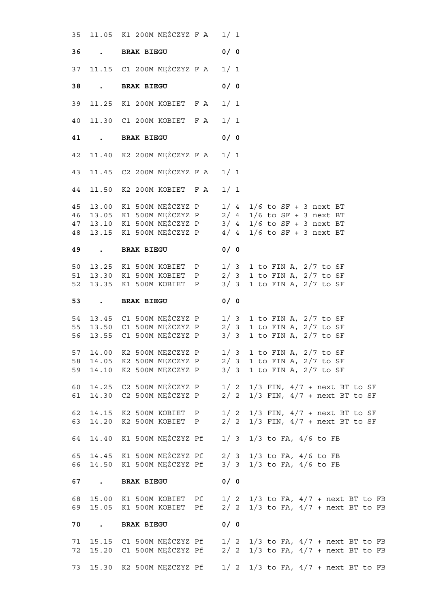|    |                          | 35 11.05 K1 200M MEŻCZYZ F A 1/1 |     |                                                      |
|----|--------------------------|----------------------------------|-----|------------------------------------------------------|
| 36 |                          | . BRAK BIEGU                     | 0/0 |                                                      |
| 37 |                          | 11.15 C1 200M MEŻCZYZ F A        | 1/1 |                                                      |
| 38 |                          | . BRAK BIEGU                     | 0/0 |                                                      |
| 39 |                          | 11.25 K1 200M KOBIET F A         | 1/1 |                                                      |
| 40 |                          | 11.30 C1 200M KOBIET F A         | 1/1 |                                                      |
| 41 |                          | . BRAK BIEGU                     | 0/0 |                                                      |
| 42 |                          | 11.40 K2 200M MEŻCZYZ F A        | 1/1 |                                                      |
| 43 |                          | 11.45 C2 200M MEŻCZYZ F A        | 1/1 |                                                      |
| 44 |                          | 11.50 K2 200M KOBIET F A         | 1/1 |                                                      |
| 45 |                          | 13.00 K1 500M MEŻCZYZ P          |     | $1/4$ $1/6$ to SF + 3 next BT                        |
| 46 |                          |                                  |     | 13.05 K1 500M MEŻCZYZ P 2/4 1/6 to SF + 3 next BT    |
| 47 |                          |                                  |     | 13.10 K1 500M MEŻCZYZ P 3/4 1/6 to SF + 3 next BT    |
| 48 |                          | 13.15 K1 500M MEŻCZYZ P          |     | $4/4$ 1/6 to SF + 3 next BT                          |
|    |                          |                                  |     |                                                      |
| 49 |                          | . BRAK BIEGU                     | 0/0 |                                                      |
| 50 |                          | 13.25 K1 500M KOBIET P           |     | $1/ 3$ 1 to FIN A, $2/7$ to SF                       |
| 51 |                          | 13.30 K1 500M KOBIET P           |     | 2/ 3 1 to FIN A, 2/7 to SF                           |
| 52 |                          | 13.35 K1 500M KOBIET P           |     | 3/ 3 1 to FIN A, 2/7 to SF                           |
|    |                          |                                  |     |                                                      |
| 53 |                          | . BRAK BIEGU                     | 0/0 |                                                      |
| 54 |                          |                                  |     | 13.45 C1 500M MEŻCZYZ P 1/3 1 to FIN A, 2/7 to SF    |
| 55 |                          |                                  |     | 13.50 C1 500M MEŻCZYZ P 2/3 1 to FIN A, 2/7 to SF    |
| 56 |                          |                                  |     | 13.55 C1 500M MEŻCZYZ P 3/3 1 to FIN A, 2/7 to SF    |
|    |                          |                                  |     |                                                      |
|    |                          |                                  |     | 57 14.00 K2 500M MEZCZYZ P 1/3 1 to FIN A, 2/7 to SF |
| 58 |                          | 14.05 K2 500M MEZCZYZ P          | 2/3 | 1 to FIN A, $2/7$ to SF                              |
| 59 |                          | 14.10 K2 500M MEZCZYZ P          | 3/3 | 1 to FIN A, $2/7$ to SF                              |
|    |                          |                                  |     |                                                      |
| 60 |                          | 14.25 C2 500M MEŻCZYZ P          | 1/2 | $1/3$ FIN, $4/7$ + next BT to SF                     |
| 61 |                          | 14.30 C2 500M MEŻCZYZ P          | 2/2 | $1/3$ FIN, $4/7$ + next BT to SF                     |
|    |                          |                                  |     |                                                      |
|    |                          |                                  |     |                                                      |
| 62 | 14.15                    | K2 500M KOBIET P                 | 1/2 | $1/3$ FIN, $4/7$ + next BT to SF                     |
| 63 | 14.20                    | K2 500M KOBIET P                 | 2/2 | $1/3$ FIN, $4/7$ + next BT to SF                     |
| 64 | 14.40                    | K1 500M MEŻCZYZ Pf               | 1/3 | $1/3$ to FA, $4/6$ to FB                             |
|    |                          |                                  |     |                                                      |
| 65 | 14.45                    | K1 500M MĘŻCZYZ Pf               | 2/3 | $1/3$ to FA, $4/6$ to FB                             |
| 66 | 14.50                    | K1 500M MĘŻCZYZ Pf               |     | $3/3$ $1/3$ to FA, $4/6$ to FB                       |
| 67 | <b>Contract Contract</b> | <b>BRAK BIEGU</b>                | 0/0 |                                                      |
|    |                          |                                  |     |                                                      |
| 68 | 15.00                    | K1 500M KOBIET Pf                |     | $1/ 2$ $1/3$ to FA, $4/7$ + next BT to FB            |
| 69 | 15.05                    | K1 500M KOBIET Pf                |     | $2/2$ 1/3 to FA, $4/7$ + next BT to FB               |
| 70 | $\sim$ $\sim$ $\sim$     | <b>BRAK BIEGU</b>                | 0/0 |                                                      |
|    |                          |                                  |     |                                                      |
| 71 |                          | 15.15 C1 500M MEŻCZYZ Pf         |     | $1/2$ $1/3$ to FA, $4/7$ + next BT to FB             |
| 72 |                          | 15.20 C1 500M MEŻCZYZ Pf         | 2/2 | $1/3$ to FA, $4/7$ + next BT to FB                   |
|    |                          |                                  |     |                                                      |
| 73 |                          | 15.30 K2 500M MEZCZYZ Pf         |     | $1/ 2$ $1/3$ to FA, $4/7$ + next BT to FB            |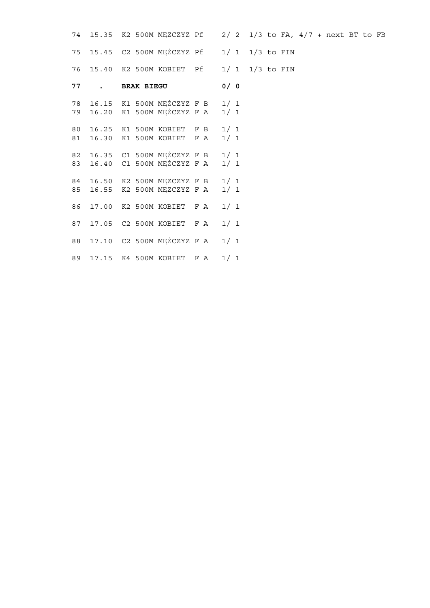| 76       |  |  |              |                                                                                 |                                                                                                                                                                         |                                                                                                                                                                                                 |  |                                                                 |  |  |                                                                |
|----------|--|--|--------------|---------------------------------------------------------------------------------|-------------------------------------------------------------------------------------------------------------------------------------------------------------------------|-------------------------------------------------------------------------------------------------------------------------------------------------------------------------------------------------|--|-----------------------------------------------------------------|--|--|----------------------------------------------------------------|
| 77       |  |  |              |                                                                                 |                                                                                                                                                                         |                                                                                                                                                                                                 |  |                                                                 |  |  |                                                                |
| 78<br>79 |  |  |              |                                                                                 |                                                                                                                                                                         |                                                                                                                                                                                                 |  |                                                                 |  |  |                                                                |
| 80<br>81 |  |  |              |                                                                                 |                                                                                                                                                                         |                                                                                                                                                                                                 |  |                                                                 |  |  |                                                                |
| 82<br>83 |  |  |              |                                                                                 |                                                                                                                                                                         |                                                                                                                                                                                                 |  |                                                                 |  |  |                                                                |
| 84<br>85 |  |  |              |                                                                                 |                                                                                                                                                                         |                                                                                                                                                                                                 |  |                                                                 |  |  |                                                                |
| 86       |  |  |              |                                                                                 |                                                                                                                                                                         |                                                                                                                                                                                                 |  |                                                                 |  |  |                                                                |
| 87       |  |  |              |                                                                                 |                                                                                                                                                                         |                                                                                                                                                                                                 |  |                                                                 |  |  |                                                                |
| 88       |  |  |              |                                                                                 |                                                                                                                                                                         |                                                                                                                                                                                                 |  |                                                                 |  |  |                                                                |
| 89       |  |  |              |                                                                                 |                                                                                                                                                                         |                                                                                                                                                                                                 |  |                                                                 |  |  |                                                                |
|          |  |  | . BRAK BIEGU | 15.40 K2 500M KOBIET Pf<br>17.00 K2 500M KOBIET F A<br>17.05 C2 500M KOBIET F A | 16.25 K1 500M KOBIET F B<br>16.30 K1 500M KOBIET F A<br>16.40 C1 500M MEŻCZYZ F A<br>16.55 K2 500M MEZCZYZ F A<br>17.10 C2 500M MĘŻCZYZ F A<br>17.15 K4 500M KOBIET F A | 0/0<br>16.15 K1 500M MEŻCZYZ F B 1/1<br>16.20 K1 500M MEŻCZYZ F A 1/1<br>1/1<br>1/1<br>16.35 C1 500M MEŻCZYZ F B 1/1<br>1/1<br>16.50 K2 500M MEZCZYZ F B 1/1<br>1/1<br>1/1<br>1/1<br>1/1<br>1/1 |  | 75 15.45 C2 500M MEŻCZYZ Pf 1/1 1/3 to FIN<br>$1/ 1 1/3$ to FIN |  |  | 74 15.35 K2 500M MEZCZYZ Pf 2/2 1/3 to FA, 4/7 + next BT to FB |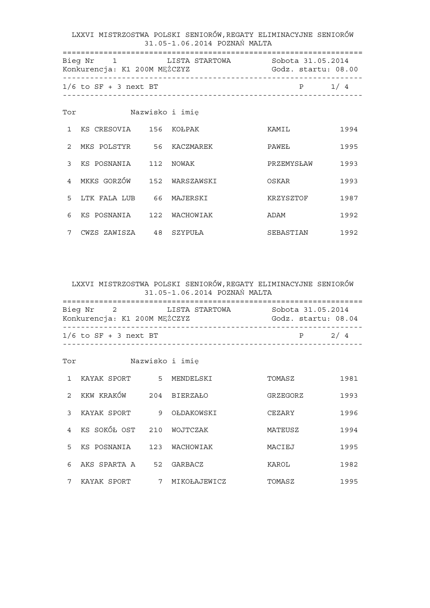LXXVI MISTRZOSTWA POLSKI SENIORÓW,REGATY ELIMINACYJNE SENIORÓW 31.05-1.06.2014 POZNAŃ MALTA ================================================================== Bieg Nr 1 LISTA STARTOWA Sobota 31.05.2014 Konkurencja: K1 200M MĘŻCZYZ ------------------------------------------------------------------  $1/6$  to SF + 3 next BT P 1/ 4 ------------------------------------------------------------------ Tor Nazwisko i imię 1 KS CRESOVIA 156 KOŁPAK 1994 2 MKS POLSTYR 56 KACZMAREK PAWEŁ 1995 3 KS POSNANIA 112 NOWAK PRZEMYSŁAW 1993 4 MKKS GORZÓW 152 WARSZAWSKI OSKAR 1993 5 LTK FALA LUB 66 MAJERSKI KRZYSZTOF 1987 6 KS POSNANIA 122 WACHOWIAK ADAM 1992 7 CWZS ZAWISZA 48 SZYPUŁA SEBASTIAN 1992

 LXXVI MISTRZOSTWA POLSKI SENIORÓW,REGATY ELIMINACYJNE SENIORÓW 31.05-1.06.2014 POZNAŃ MALTA

| Bieg Nr 2<br>Konkurencja: K1 200M MEŻCZYZ | LISTA STARTOWA | Sobota 31.05.2014<br>Godz, startu: 08.04 |     |
|-------------------------------------------|----------------|------------------------------------------|-----|
| $1/6$ to SF + 3 next BT                   |                | D                                        | 2/4 |

Tor Nazwisko i imię

|               | KAYAK SPORT  | 5   | MENDELSKI    | TOMASZ   | 1981 |
|---------------|--------------|-----|--------------|----------|------|
| $\mathcal{L}$ | KKW KRAKÓW   | 204 | BIERZAŁO     | GRZEGORZ | 1993 |
| 3             | KAYAK SPORT  | 9   | OŁDAKOWSKI   | CEZARY   | 1996 |
| 4             | KS SOKÓŁ OST | 210 | WOJTCZAK     | MATEUSZ  | 1994 |
| 5.            | KS POSNANIA  | 123 | WACHOWIAK    | MACIEJ   | 1995 |
| 6             | AKS SPARTA A | 52  | GARBACZ      | KAROL    | 1982 |
| 7             | KAYAK SPORT  |     | MIKOŁAJEWICZ | TOMASZ   | 1995 |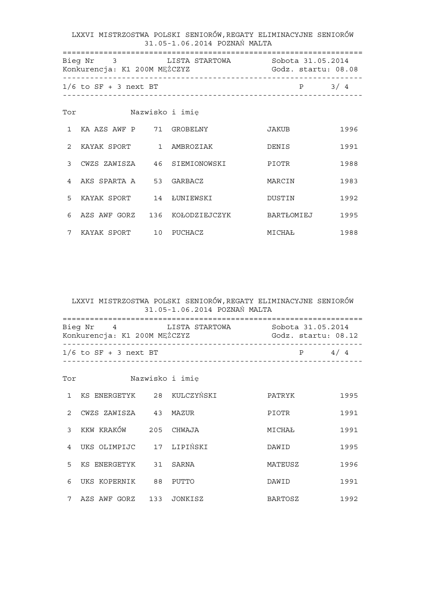LXXVI MISTRZOSTWA POLSKI SENIORÓW,REGATY ELIMINACYJNE SENIORÓW 31.05-1.06.2014 POZNAŃ MALTA ================================================================== Bieg Nr 3 LISTA STARTOWA Sobota 31.05.2014 Konkurencja: K1 200M MĘŻCZYZ Godz. startu: 08.08 ------------------------------------------------------------------  $1/6$  to SF + 3 next BT P 3/ 4 ------------------------------------------------------------------ Tor Nazwisko i imię 1 KA AZS AWF P 71 GROBELNY JAKUB 1996 2 KAYAK SPORT 1 AMBROZIAK DENIS 1991 3 CWZS ZAWISZA 46 SIEMIONOWSKI PIOTR 1988 4 AKS SPARTA A 53 GARBACZ MARCIN MARCIN 1983 5 KAYAK SPORT 14 ŁUNIEWSKI DUSTIN 1992 6 AZS AWF GORZ 136 KOŁODZIEJCZYK BARTŁOMIEJ 1995 7 KAYAK SPORT 10 PUCHACZ MICHAŁ 1988

| Bieg Nr 4<br>Konkurencja: K1 200M MĘŻCZYZ | IJSTA STARTOWA | Sobota 31.05.2014<br>Godz. startu: 08.12 |     |  |
|-------------------------------------------|----------------|------------------------------------------|-----|--|
| $1/6$ to SF + 3 next BT                   |                | P                                        | 4/4 |  |

| Tor           |              |     | Nazwisko i imię |                |      |
|---------------|--------------|-----|-----------------|----------------|------|
| 1             | KS ENERGETYK | 28  | KULCZYŃSKI      | PATRYK         | 1995 |
| $\mathcal{L}$ | CWZS ZAWISZA | 43  | MAZUR           | PIOTR          | 1991 |
| 3             | KKW KRAKÓW   | 205 | CHWAJA          | MICHAŁ         | 1991 |
| 4             | UKS OLIMPIJC | 17  | LIPIŃSKI        | DAWID          | 1995 |
| 5             | KS ENERGETYK | 31  | SARNA           | MATEUSZ        | 1996 |
| 6             | UKS KOPERNIK | 88  | PUTTO           | DAWID          | 1991 |
| 7             | AZS AWF GORZ | 133 | JONKISZ         | <b>BARTOSZ</b> | 1992 |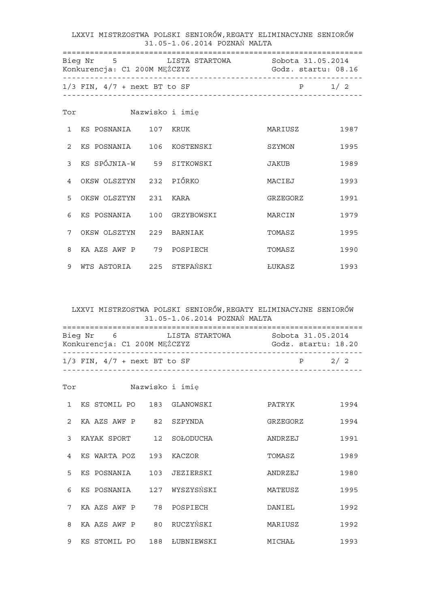LXXVI MISTRZOSTWA POLSKI SENIORÓW,REGATY ELIMINACYJNE SENIORÓW 31.05-1.06.2014 POZNAŃ MALTA ================================================================== Bieg Nr 5 LISTA STARTOWA Sobota 31.05.2014 Konkurencja: C1 200M MĘŻCZYZ Godz. startu: 08.16 ------------------------------------------------------------------  $1/3$  FIN,  $4/7$  + next BT to SF P 1/2 ------------------------------------------------------------------ Tor Nazwisko i imię 1 KS POSNANIA 107 KRUK 1987 2 KS POSNANIA 106 KOSTENSKI SZYMON 1995 3 KS SPÓJNIA-W 59 SITKOWSKI JAKUB 1989 4 OKSW OLSZTYN 232 PIÓRKO MACIEJ 1993 5 OKSW OLSZTYN 231 KARA GRZEGORZ 1991 6 KS POSNANIA 100 GRZYBOWSKI MARCIN 1979 7 OKSW OLSZTYN 229 BARNIAK TOMASZ 1995 8 KA AZS AWF P 79 POSPIECH TOMASZ 1990 9 WTS ASTORIA 225 STEFAŃSKI ŁUKASZ 1993

| Bieg Nr 6<br>Konkurencja: C1 200M MĘŻCZYZ | IJSTA STARTOWA | Sobota 31.05.2014 | Godz. startu: 18.20 |  |
|-------------------------------------------|----------------|-------------------|---------------------|--|
| $1/3$ FIN, $4/7$ + next BT to SF          |                | P                 | 2/2                 |  |

| Tor            |                  |     | Nazwisko i imię |          |      |
|----------------|------------------|-----|-----------------|----------|------|
| $\mathbf{1}$   | KS STOMIL PO     | 183 | GLANOWSKI       | PATRYK   | 1994 |
| $2^{\circ}$    | KA AZS AWF P     | 82  | SZPYNDA         | GRZEGORZ | 1994 |
| 3              | KAYAK SPORT      | 12  | SOŁODUCHA       | ANDRZEJ  | 1991 |
| $\overline{4}$ | KS WARTA POZ     | 193 | KACZOR          | TOMASZ   | 1989 |
| 5.             | KS POSNANIA      | 103 | JEZIERSKI       | ANDRZEJ  | 1980 |
| 6              | KS POSNANIA      | 127 | WYSZYSŃSKI      | MATEUSZ  | 1995 |
| 7              | KA AZS AWF P     | 78  | POSPIECH        | DANIEL   | 1992 |
| 8              | KA AZS AWF P     | 80  | RUCZYŃSKI       | MARIUSZ  | 1992 |
| 9              | KS STOMIL<br>PO. | 188 | ŁUBNIEWSKI      | MICHAŁ   | 1993 |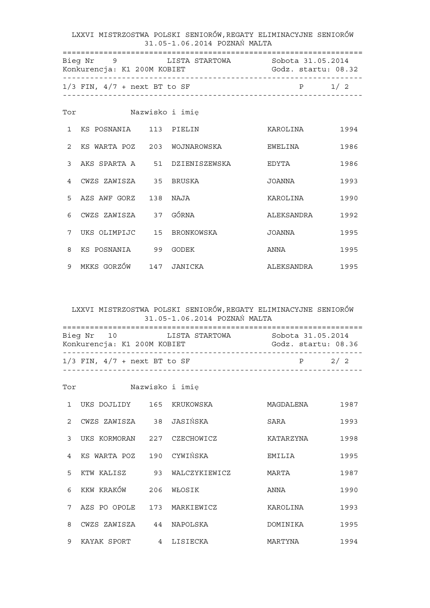LXXVI MISTRZOSTWA POLSKI SENIORÓW,REGATY ELIMINACYJNE SENIORÓW 31.05-1.06.2014 POZNAŃ MALTA ================================================================== Bieg Nr 9 LISTA STARTOWA Sobota 31.05.2014 Konkurencja: K1 200M KOBIET ------------------------------------------------------------------  $1/3$  FIN,  $4/7$  + next BT to SF P 1/2 ------------------------------------------------------------------ Tor Nazwisko i imię 1 KS POSNANIA 113 PIELIN KAROLINA 1994 2 KS WARTA POZ 203 WOJNAROWSKA EWELINA 1986 3 AKS SPARTA A 51 DZIENISZEWSKA EDYTA 1986 4 CWZS ZAWISZA 35 BRUSKA JOANNA 1993 5 AZS AWF GORZ 138 NAJA 6 KAROLINA 1990 6 CWZS ZAWISZA 37 GÓRNA ALEKSANDRA 1992 7 UKS OLIMPIJC 15 BRONKOWSKA JOANNA 1995 8 KS POSNANIA 99 GODEK ANNA 1995 9 MKKS GORZÓW 147 JANICKA ALEKSANDRA 1995

| Bieg Nr 10<br>Konkurencja: K1 200M KOBIET | LISTA STARTOWA | Sobota 31.05.2014<br>Godz, startu: 08.36 |     |  |
|-------------------------------------------|----------------|------------------------------------------|-----|--|
| $1/3$ FIN, $4/7$ + next BT to SF          |                | P                                        | 2/2 |  |

| Tor             |              |                | Nazwisko i imię |           |      |
|-----------------|--------------|----------------|-----------------|-----------|------|
| $\mathbf{1}$    | UKS DOJLIDY  |                | 165 KRUKOWSKA   | MAGDALENA | 1987 |
| $\mathcal{L}$   | CWZS ZAWISZA | 38             | JASIŃSKA        | SARA      | 1993 |
| 3               | UKS KORMORAN | 227            | CZECHOWICZ      | KATARZYNA | 1998 |
| $\overline{4}$  | KS WARTA POZ | 190            | CYWIŃSKA        | EMILIA    | 1995 |
| 5               | KTW KALISZ   | 93             | WALCZYKIEWICZ   | MARTA     | 1987 |
| 6               | KKW KRAKÓW   | 206            | WŁOSIK          | ANNA      | 1990 |
| $7\overline{ }$ | AZS PO OPOLE | 173            | MARKIEWICZ      | KAROLINA  | 1993 |
| 8               | CWZS ZAWISZA | 44             | NAPOLSKA        | DOMINIKA  | 1995 |
| 9               | KAYAK SPORT  | $\overline{4}$ | LISIECKA        | MARTYNA   | 1994 |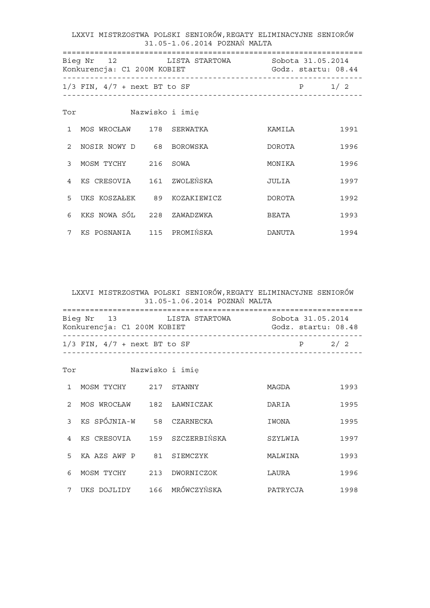|                |                                  | LXXVI MISTRZOSTWA POLSKI SENIORÓW, REGATY ELIMINACYJNE SENIORÓW<br>31.05-1.06.2014 POZNAŃ MALTA |                                                           |         |
|----------------|----------------------------------|-------------------------------------------------------------------------------------------------|-----------------------------------------------------------|---------|
|                | Konkurencja: C1 200M KOBIET      | Bieq Nr 12 LISTA STARTOWA Sobota 31.05.2014                                                     | Godz. startu: 08.44<br>---------------------------------- |         |
|                | $1/3$ FIN, $4/7$ + next BT to SF |                                                                                                 |                                                           | $P$ 1/2 |
| Tor            |                                  | Nazwisko i imię                                                                                 |                                                           |         |
| $\mathbf{1}$   | MOS WROCŁAW 178 SERWATKA         |                                                                                                 | KAMILA                                                    | 1991    |
| $\mathcal{L}$  | NOSIR NOWY D 68 BOROWSKA         |                                                                                                 | DOROTA                                                    | 1996    |
| 3              | MOSM TYCHY 216 SOWA              |                                                                                                 | MONIKA                                                    | 1996    |
| $\overline{4}$ | KS CRESOVIA 161 ZWOLEŃSKA        |                                                                                                 | JULIA                                                     | 1997    |
| 5              | UKS KOSZAŁEK 89 KOZAKIEWICZ      |                                                                                                 | DOROTA                                                    | 1992    |
| 6              | KKS NOWA SÓL 228 ZAWADZWKA       |                                                                                                 | BEATA                                                     | 1993    |
| 7              | KS POSNANIA      115   PROMIŃSKA |                                                                                                 | DANUTA                                                    | 1994    |

| Bieg Nr 13<br>Konkurencja: C1 200M KOBIET | LISTA STARTOWA | Sobota 31.05.2014<br>Godz, startu: 08.48 |     |
|-------------------------------------------|----------------|------------------------------------------|-----|
| $1/3$ FIN, $4/7$ + next BT to SF          |                | D                                        | 2/2 |

| Tor                   |              |     | Nazwisko i imie |          |      |
|-----------------------|--------------|-----|-----------------|----------|------|
| $\mathbf{1}$          | MOSM TYCHY   | 217 | STANNY          | MAGDA    | 1993 |
| $\mathcal{D}_{\cdot}$ | MOS WROCŁAW  | 182 | ŁAWNICZAK       | DARIA    | 1995 |
| 3                     | KS SPÓJNIA-W | 58  | CZARNECKA       | IWONA    | 1995 |
| 4                     | KS CRESOVIA  | 159 | SZCZERBIŃSKA    | SZYLWIA  | 1997 |
| 5.                    | KA AZS AWF P | 81  | SIEMCZYK        | MALWINA  | 1993 |
| 6                     | MOSM TYCHY   | 213 | DWORNICZOK      | LAURA    | 1996 |
| 7                     | UKS DOJLIDY  | 166 | MRÓWCZYŃSKA     | PATRYCJA | 1998 |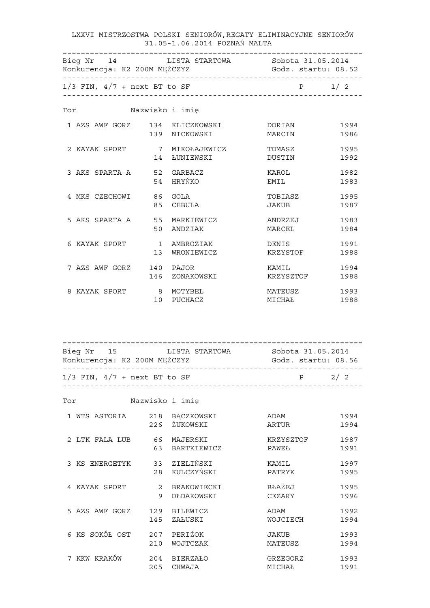|                                  |     | Bieg Nr 14 LISTA STARTOWA Sobota 31.05.2014<br>Konkurencja: K2 200M MĘŻCZYZ COM SOSOW Godz. startu: 08.52 |                    |              |
|----------------------------------|-----|-----------------------------------------------------------------------------------------------------------|--------------------|--------------|
| $1/3$ FIN, $4/7$ + next BT to SF |     |                                                                                                           | $P$ 1/2            |              |
| Nazwisko i imię<br>Tor           |     |                                                                                                           |                    |              |
| 1 AZS AWF GORZ                   |     | 134 KLICZKOWSKI<br>139 NICKOWSKI                                                                          | DORIAN<br>MARCIN   | 1994<br>1986 |
| 2 KAYAK SPORT 7 MIKOŁAJEWICZ     |     | 14 ŁUNIEWSKI                                                                                              | TOMASZ<br>DUSTIN   | 1995<br>1992 |
| 3 AKS SPARTA A 52 GARBACZ        |     | 54 HRYŃKO                                                                                                 | KAROL<br>EMIL      | 1982<br>1983 |
| 4 MKS CZECHOWI                   |     | 86 GOLA<br>85 CEBULA                                                                                      | TOBIASZ<br>JAKUB   | 1995<br>1987 |
| 5 AKS SPARTA A 55 MARKIEWICZ     | 50  | ANDZIAK                                                                                                   | ANDRZEJ<br>MARCEL  | 1983<br>1984 |
|                                  |     | 13 WRONIEWICZ                                                                                             | DENIS<br>KRZYSTOF  | 1991<br>1988 |
| 7 AZS AWF GORZ                   | 146 | 140 PAJOR<br>ZONAKOWSKI                                                                                   | KAMIL<br>KRZYSZTOF | 1994<br>1988 |
| 8 KAYAK SPORT                    | 10  | 8 MOTYBEL<br>PUCHACZ                                                                                      | MATEUSZ<br>MICHAŁ  | 1993<br>1988 |

 ================================================================== Bieg Nr 15 LISTA STARTOWA Sobota 31.05.2014 Konkurencja: K2 200M MĘŻCZYZ Godz. startu: 08.56 ------------------------------------------------------------------  $1/3$  FIN,  $4/7$  + next BT to SF P 2/ 2 ------------------------------------------------------------------ Tor Nazwisko i imię 1 WTS ASTORIA 218 BĄCZKOWSKI ADAM 1994 226 ŻUKOWSKI ARTUR 1994 2 LTK FALA LUB 66 MAJERSKI<br>63 BARTKIEWICZ KRZYSZTOF 1987<br>PAWEŁ 1991 3 KS ENERGETYK 33 ZIELIŃSKI KAMIL KAMIL 1997<br>28 KULCZYŃSKI PATRYK 1995 297 KAMIL<br>28 PATRYK 1995 4 KAYAK SPORT 2 BRAKOWIECKI BŁAŻEJ 1995 9 OŁDAKOWSKI CEZARY 1996 5 AZS AWF GORZ 129 BILEWICZ ADAM 1992 145 ZAŁUSKI WOJCIECH 1994 6 KS SOKÓŁ OST 207 PERIŻOK JAKUB 1993 210 WOJTCZAK MATEUSZ 1994 7 KKW KRAKÓW 204 BIERZAŁO GRZEGORZ 1993 205 CHWAJA MICHAŁ 1991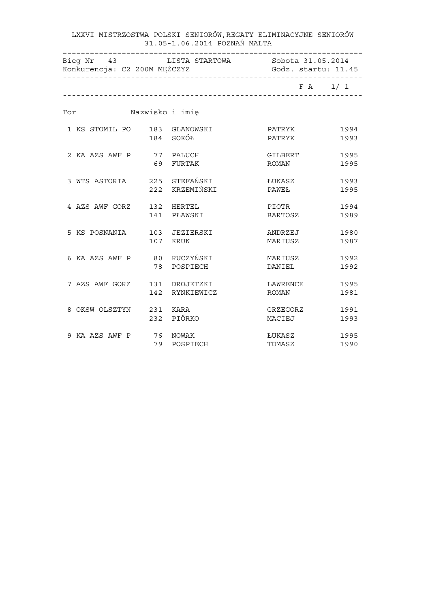| Bieg Nr<br>43<br>Konkurencja: C2 200M MĘŻCZYZ |                 | LISTA STARTOWA Sobota 31.05.2014 | Godz. startu: 11.45 |              |
|-----------------------------------------------|-----------------|----------------------------------|---------------------|--------------|
|                                               |                 | _____________________________    |                     | $FA$ 1/ 1    |
| Tor                                           | Nazwisko i imię |                                  |                     |              |
| 1 KS STOMIL PO                                |                 | 183 GLANOWSKI<br>184 SOKÓŁ       | PATRYK<br>PATRYK    | 1994<br>1993 |
| 2 KA AZS AWF P 77 PALUCH                      |                 | 69 FURTAK                        | GILBERT<br>ROMAN    | 1995<br>1995 |
| 3 WTS ASTORIA 225 STEFAŃSKI                   |                 | 222 KRZEMIŃSKI                   | ŁUKASZ<br>PAWEŁ     | 1993<br>1995 |
| 4 AZS AWF GORZ                                |                 | 132 HERTEL<br>141 PŁAWSKI        | PIOTR<br>BARTOSZ    | 1994<br>1989 |
| 5 KS POSNANIA                                 | 107 KRUK        | 103 JEZIERSKI                    | ANDRZEJ<br>MARIUSZ  | 1980<br>1987 |
| 6 KA AZS AWF P 80 RUCZYŃSKI                   |                 | 78 POSPIECH                      | MARIUSZ<br>DANIEL   | 1992<br>1992 |
| 7 AZS AWF GORZ                                |                 | 131 DROJETZKI<br>142 RYNKIEWICZ  | LAWRENCE<br>ROMAN   | 1995<br>1981 |
| 8 OKSW OLSZTYN                                | 231 KARA        | 232 PIÓRKO                       | GRZEGORZ<br>MACIEJ  | 1991<br>1993 |
| 9 KA AZS AWF P 76 NOWAK                       |                 | 79 POSPIECH                      | ŁUKASZ<br>TOMASZ    | 1995<br>1990 |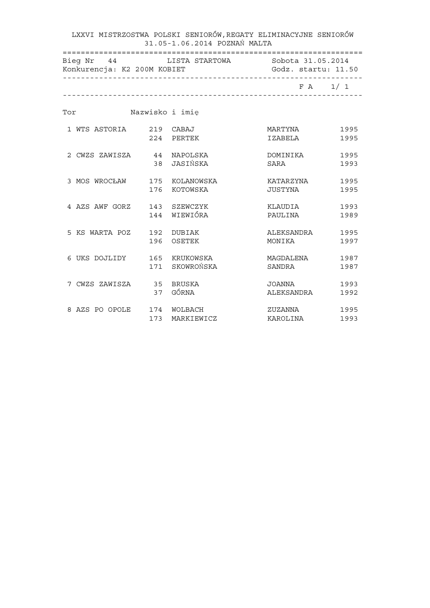|                            |     | Bieg Nr 44 LISTA STARTOWA Sobota 31.05.2014       |            |      |
|----------------------------|-----|---------------------------------------------------|------------|------|
|                            |     | Konkurencja: K2 200M KOBIET (Godz. startu: 11.50) |            |      |
|                            |     |                                                   | FA 1/1     |      |
| Tor                        |     | Nazwisko i imię                                   |            |      |
| 1 WTS ASTORIA 219 CABAJ    |     |                                                   | MARTYNA    | 1995 |
|                            |     | 224 PERTEK                                        | IZABELA    | 1995 |
| 2 CWZS ZAWISZA 44 NAPOLSKA |     |                                                   | DOMINIKA   | 1995 |
|                            |     | 38 JASIŃSKA                                       | SARA       | 1993 |
| 3 MOS WROCŁAW              |     | 175 KOLANOWSKA                                    | KATARZYNA  | 1995 |
|                            |     | 176 KOTOWSKA                                      | JUSTYNA    | 1995 |
| 4 AZS AWF GORZ             |     | 143 SZEWCZYK                                      | KLAUDIA    | 1993 |
|                            |     | 144 WIEWIÓRA                                      | PAULINA    | 1989 |
| 5 KS WARTA POZ             |     | 192 DUBIAK                                        | ALEKSANDRA | 1995 |
|                            | 196 | <b>OSETEK</b>                                     | MONIKA     | 1997 |
| 6 UKS DOJLIDY              |     | 165 KRUKOWSKA                                     | MAGDALENA  | 1987 |
|                            |     | 171 SKOWROŃSKA                                    | SANDRA     | 1987 |
| 7 CWZS ZAWISZA             |     | 35 BRUSKA                                         | JOANNA     | 1993 |
|                            |     | 37 GÓRNA                                          | ALEKSANDRA | 1992 |
| 8 AZS PO OPOLE             |     | 174 WOLBACH                                       | ZUZANNA    | 1995 |
|                            |     | 173 MARKIEWICZ                                    | KAROLINA   | 1993 |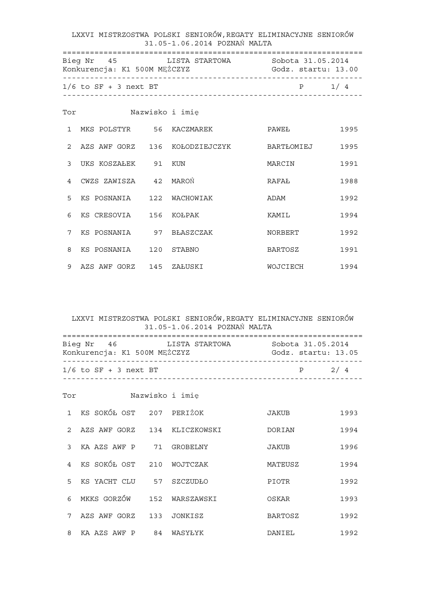LXXVI MISTRZOSTWA POLSKI SENIORÓW,REGATY ELIMINACYJNE SENIORÓW 31.05-1.06.2014 POZNAŃ MALTA ================================================================== Bieg Nr 45 LISTA STARTOWA Sobota 31.05.2014 Konkurencja: K1 500M MĘŻCZYZ COD Godz. startu: 13.00 ------------------------------------------------------------------  $1/6$  to SF + 3 next BT P 1/ 4 ------------------------------------------------------------------ Tor Nazwisko i imię 1 MKS POLSTYR 56 KACZMAREK PAWEŁ 1995 2 AZS AWF GORZ 136 KOŁODZIEJCZYK BARTŁOMIEJ 1995 3 UKS KOSZAŁEK 91 KUN MARCIN 1991 4 CWZS ZAWISZA 42 MAROŃ RAFAŁ 1988 5 KS POSNANIA 122 WACHOWIAK ADAM ADAM 1992 6 KS CRESOVIA 156 KOŁPAK 1994 KAMIL 1994 7 KS POSNANIA 97 BŁASZCZAK MORBERT 1992 8 KS POSNANIA 120 STABNO BARTOSZ 1991 9 AZS AWF GORZ 145 ZAŁUSKI MOJCIECH 1994

| Bieg Nr 46                   | LISTA STARTOWA | Sobota 31.05.2014      |     |
|------------------------------|----------------|------------------------|-----|
| Konkurencja: K1 500M MĘŻCZYZ |                | $Godz$ , startu: 13.05 |     |
| $1/6$ to SF + 3 next BT      |                | P                      | 2/4 |
|                              |                |                        |     |

| Tor            |                            |     | Nazwisko i imię |                |      |
|----------------|----------------------------|-----|-----------------|----------------|------|
|                | 1 KS SOKÓŁ OST 207 PERIŻOK |     |                 | JAKUB          | 1993 |
| $\mathcal{R}$  | AZS AWF GORZ               | 134 | KLICZKOWSKI     | DORIAN         | 1994 |
| 3              | KA AZS AWF P               | 71  | GROBELNY        | JAKUB          | 1996 |
| $\overline{4}$ | KS SOKÓŁ OST               | 210 | WOJTCZAK        | MATEUSZ        | 1994 |
|                | 5 KS YACHT CLU             | 57  | SZCZUDŁO        | PIOTR          | 1992 |
| 6              | MKKS GORZÓW                | 152 | WARSZAWSKI      | OSKAR          | 1993 |
| $7^{\circ}$    | AZS AWF GORZ               | 133 | JONKISZ         | <b>BARTOSZ</b> | 1992 |
| 8              | KA AZS AWF P               | 84  | WASYŁYK         | DANIEL         | 1992 |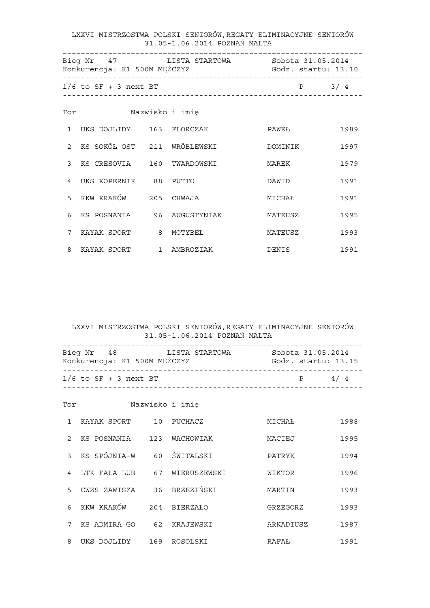|                |                                                           | 31.05-1.06.2014 POZNAŃ MALTA             | LXXVI MISTRZOSTWA POLSKI SENIORÓW, REGATY ELIMINACYJNE SENIORÓW |         |
|----------------|-----------------------------------------------------------|------------------------------------------|-----------------------------------------------------------------|---------|
|                | Bieg Nr 47 LISTA STARTOWA<br>Konkurencja: K1 500M MĘŻCZYZ | Sobota 31.05.2014<br>Godz. startu: 13.10 |                                                                 |         |
|                | $1/6$ to SF + 3 next BT                                   | ----------------------------             |                                                                 | $P$ 3/4 |
| Tor            |                                                           | Nazwisko i imię                          |                                                                 |         |
| $\mathbf{1}$   | UKS DOJLIDY 163 FLORCZAK                                  |                                          | PAWEŁ                                                           | 1989    |
| $\mathcal{L}$  | KS SOKÓŁ OSTO 211 WRÓBLEWSKI                              |                                          | DOMINIK                                                         | 1997    |
| 3              | KS CRESOVIA 160 TWARDOWSKI                                |                                          | MAREK                                                           | 1979    |
| $\overline{4}$ | UKS KOPERNIK 88 PUTTO                                     |                                          | DAWID                                                           | 1991    |
| 5              | KKW KRAKÓW                                                | 205 CHWAJA                               | MICHAŁ                                                          | 1991    |
| 6              | KS POSNANIA 96 AUGUSTYNIAK                                |                                          | MATEUSZ                                                         | 1995    |
| 7              | KAYAK SPORT 8 MOTYBEL                                     |                                          | MATEUSZ                                                         | 1993    |
| 8              | KAYAK SPORT 1 AMBROZIAK                                   |                                          | DENIS                                                           | 1991    |

| Bieg Nr 48<br>Konkurencja: K1 500M MĘŻCZYZ | IJSTA STARTOWA | Sobota 31.05.2014<br>Godz. startu: 13.15 |     |  |
|--------------------------------------------|----------------|------------------------------------------|-----|--|
| $1/6$ to SF + 3 next BT                    |                | D                                        | 4/4 |  |

| Tor           |              |                 | Nazwisko i imie |           |      |
|---------------|--------------|-----------------|-----------------|-----------|------|
| $\mathbf{1}$  | KAYAK SPORT  | 10 <sup>°</sup> | PUCHACZ         | MICHAŁ    | 1988 |
| $\mathcal{L}$ | KS POSNANIA  | 123             | WACHOWIAK       | MACIEJ    | 1995 |
| 3             | KS SPÓJNIA-W | 60              | ŚWITALSKI       | PATRYK    | 1994 |
| 4             | LTK FALA LUB | 67              | WIERUSZEWSKI    | WIKTOR    | 1996 |
| 5             | CWZS ZAWISZA |                 | 36 BRZEZIŃSKI   | MARTIN    | 1993 |
| 6             | KKW KRAKÓW   | 204             | <b>BIERZAŁO</b> | GRZEGORZ  | 1993 |
| 7             | KS ADMIRA GO | 62              | KRAJEWSKI       | ARKADIUSZ | 1987 |
| 8             | UKS DOJLIDY  | 169             | ROSOLSKI        | RAFAŁ     | 1991 |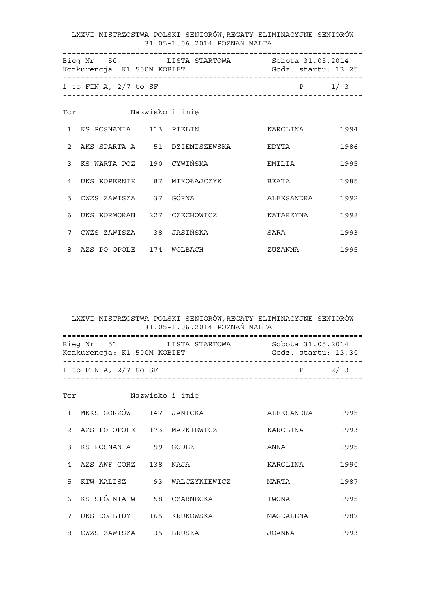LXXVI MISTRZOSTWA POLSKI SENIORÓW,REGATY ELIMINACYJNE SENIORÓW 31.05-1.06.2014 POZNAŃ MALTA ================================================================== Bieg Nr 50 LISTA STARTOWA Sobota 31.05.2014 Konkurencja: K1 500M KOBIET ------------------------------------------------------------------ 1 to FIN A, 2/7 to SF P 1/ 3 ------------------------------------------------------------------ Tor Nazwisko i imię 1 KS POSNANIA 113 PIELIN KAROLINA 1994 2 AKS SPARTA A 51 DZIENISZEWSKA EDYTA 1986 3 KS WARTA POZ 190 CYWIŃSKA EMILIA 1995 4 UKS KOPERNIK 87 MIKOŁAJCZYK BEATA 1985 5 CWZS ZAWISZA 37 GÓRNA ALEKSANDRA 1992 6 UKS KORMORAN 227 CZECHOWICZ KATARZYNA 1998 7 CWZS ZAWISZA 38 JASIŃSKA SARA 1993 8 AZS PO OPOLE 174 WOLBACH 1995

| Bieg Nr 51<br>Konkurencja: K1 500M KOBIET | LISTA STARTOWA | Sobota 31.05.2014<br>Godz. startu: 13.30 |     |
|-------------------------------------------|----------------|------------------------------------------|-----|
| 1 to FIN A, $2/7$ to SF                   |                | $\mathsf{P}$                             | 2/3 |

| Tor           |              |     | Nazwisko i imię |            |      |
|---------------|--------------|-----|-----------------|------------|------|
| $\mathbf{1}$  | MKKS GORZÓW  | 147 | JANICKA         | ALEKSANDRA | 1995 |
| $\mathcal{L}$ | AZS PO OPOLE | 173 | MARKIEWICZ      | KAROLINA   | 1993 |
| 3             | KS POSNANIA  | 99  | GODEK           | ANNA       | 1995 |
| 4             | AZS AWF GORZ | 138 | NAJA            | KAROLINA   | 1990 |
| 5             | KTW KALISZ   | 93  | WALCZYKIEWICZ   | MARTA      | 1987 |
| 6             | KS SPÓJNIA-W | 58  | CZARNECKA       | IWONA      | 1995 |
| 7             | UKS DOJLIDY  | 165 | KRUKOWSKA       | MAGDALENA  | 1987 |
| 8             | CWZS ZAWISZA | 35  | BRUSKA          | JOANNA     | 1993 |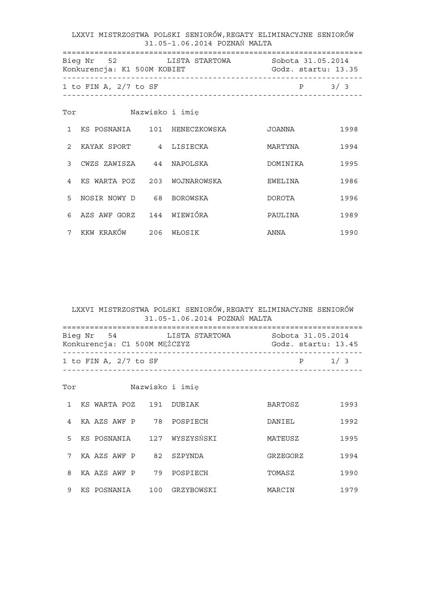LXXVI MISTRZOSTWA POLSKI SENIORÓW,REGATY ELIMINACYJNE SENIORÓW 31.05-1.06.2014 POZNAŃ MALTA ================================================================== Bieg Nr 52 LISTA STARTOWA Sobota 31.05.2014<br>Konkurencja: K1 500M KOBIET (Godz. startu: 13.35 Konkurencja: K1 500M KOBIET ------------------------------------------------------------------ 1 to FIN A,  $2/7$  to SF P 3/ 3 ------------------------------------------------------------------ Tor Nazwisko i imię 1 KS POSNANIA 101 HENECZKOWSKA JOANNA 1998 2 KAYAK SPORT 4 LISIECKA MARTYNA 1994 3 CWZS ZAWISZA 44 NAPOLSKA DOMINIKA 1995 4 KS WARTA POZ 203 WOJNAROWSKA EWELINA 1986 5 NOSIR NOWY D 68 BOROWSKA DOROTA 1996 6 AZS AWF GORZ 144 WIEWIÓRA PAULINA 1989 7 KKW KRAKÓW 206 WŁOSIK 1990 ANNA

 LXXVI MISTRZOSTWA POLSKI SENIORÓW,REGATY ELIMINACYJNE SENIORÓW 31.05-1.06.2014 POZNAŃ MALTA ================================================================== Bieg Nr 54 LISTA STARTOWA Sobota 31.05.2014 Konkurencja: C1 500M MĘŻCZYZ Godz. startu: 13.45 ------------------------------------------------------------------ 1 to FIN A, 2/7 to SF P 1/ 3 ------------------------------------------------------------------ Tor Nazwisko i imię 1 KS WARTA POZ 191 DUBIAK BARTOSZ 1993 4 KA AZS AWF P 78 POSPIECH DANIEL 1992

|   | 5 KS POSNANIA | 127 | WYSZYSŃSKI | MATEUSZ  | 1995 |
|---|---------------|-----|------------|----------|------|
|   | KA AZS AWF P  | 82  | SZPYNDA    | GRZEGORZ | 1994 |
| 8 | KA AZS AWF P  | 79  | POSPIECH   | TOMASZ   | 1990 |
| 9 | KS POSNANIA   | 100 | GRZYBOWSKI | MARCIN   | 1979 |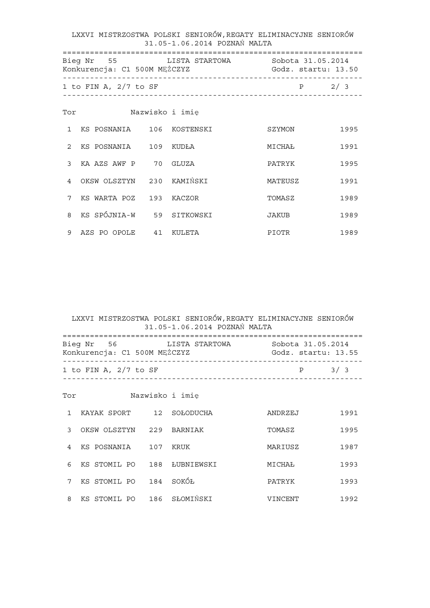LXXVI MISTRZOSTWA POLSKI SENIORÓW,REGATY ELIMINACYJNE SENIORÓW 31.05-1.06.2014 POZNAŃ MALTA ================================================================== Bieg Nr 55 LISTA STARTOWA Sobota 31.05.2014 Konkurencja: C1 500M MĘŻCZYZ ------------------------------------------------------------------ 1 to FIN A, 2/7 to SF P 2/ 3 ------------------------------------------------------------------ Tor Nazwisko i imię 1 KS POSNANIA 106 KOSTENSKI SZYMON 1995 2 KS POSNANIA 109 KUDŁA MICHAŁ 1991 3 KA AZSAWF P 70 GLUZA PATRYK PATRYK 1995 4 OKSW OLSZTYN 230 KAMIŃSKI MATEUSZ 1991 7 KS WARTA POZ 193 KACZOR TOMASZ 1989 8 KS SPÓJNIA-W 59 SITKOWSKI JAKUB 1989 9 AZS PO OPOLE 41 KULETA PIOTR PIOTR 1989

| Konkurencja: C1 500M MĘŻCZYZ | Bieg Nr 56              | LISTA STARTOWA | Sobota 31.05.2014<br>Godz. startu: 13.55 |
|------------------------------|-------------------------|----------------|------------------------------------------|
|                              | 1 to FIN A, $2/7$ to SF |                | 3/3<br>D                                 |

| Tor |              |     | Nazwisko i imię |         |      |
|-----|--------------|-----|-----------------|---------|------|
| 1   | KAYAK SPORT  | 12  | SOŁODUCHA       | ANDRZEJ | 1991 |
| 3   | OKSW OLSZTYN | 229 | BARNIAK         | TOMASZ  | 1995 |
| 4   | KS POSNANIA  | 107 | KRUK            | MARIUSZ | 1987 |
| 6   | KS STOMIL PO | 188 | ŁUBNIEWSKI      | MICHAŁ  | 1993 |
| 7   | KS STOMIL PO | 184 | SOKÓŁ           | PATRYK  | 1993 |
| 8   | KS STOMIL PO | 186 | SŁOMIŃSKI       | VINCENT | 1992 |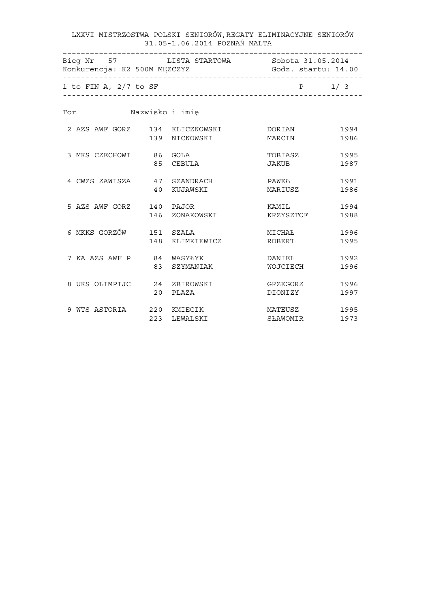|                                |     | LXXVI MISTRZOSTWA POLSKI SENIORÓW, REGATY ELIMINACYJNE SENIORÓW<br>31.05-1.06.2014 POZNAŃ MALTA |                     |              |
|--------------------------------|-----|-------------------------------------------------------------------------------------------------|---------------------|--------------|
|                                |     | Bieg Nr 57 LISTA STARTOWA Sobota 31.05.2014<br>Konkurencja: K2 500M MEZCZYZ COOZ. Startu: 14.00 |                     |              |
| 1 to FIN A, $2/7$ to SF        |     |                                                                                                 | $P$ 1/3             |              |
| Tor                            |     | Nazwisko i imię                                                                                 |                     |              |
| 2 AZS AWF GORZ 134 KLICZKOWSKI |     | 139 NICKOWSKI                                                                                   | DORIAN<br>MARCIN    | 1994<br>1986 |
| 3 MKS CZECHOWI 86 GOLA         |     | 85 CEBULA                                                                                       | TOBIASZ<br>JAKUB    | 1995<br>1987 |
| 4 CWZS ZAWISZA 47 SZANDRACH    |     | 40 KUJAWSKI                                                                                     | PAWEŁ<br>MARIUSZ    | 1991<br>1986 |
| 5 AZS AWF GORZ                 |     | 140 PAJOR<br>146 ZONAKOWSKI                                                                     | KAMIL<br>KRZYSZTOF  | 1994<br>1988 |
| 6 MKKS GORZÓW                  |     | 151 SZALA<br>148 KLIMKIEWICZ                                                                    | MICHAŁ<br>ROBERT    | 1996<br>1995 |
| 7 KA AZS AWF P 84 WASYŁYK      | 83  | SZYMANIAK                                                                                       | DANIEL<br>WOJCIECH  | 1992<br>1996 |
| 8 UKS OLIMPIJC                 | 20  | 24 ZBIROWSKI<br>PLAZA                                                                           | GRZEGORZ<br>DIONIZY | 1996<br>1997 |
| 9 WTS ASTORIA                  | 223 | 220 KMIECIK<br>LEWALSKI                                                                         | MATEUSZ<br>SŁAWOMIR | 1995<br>1973 |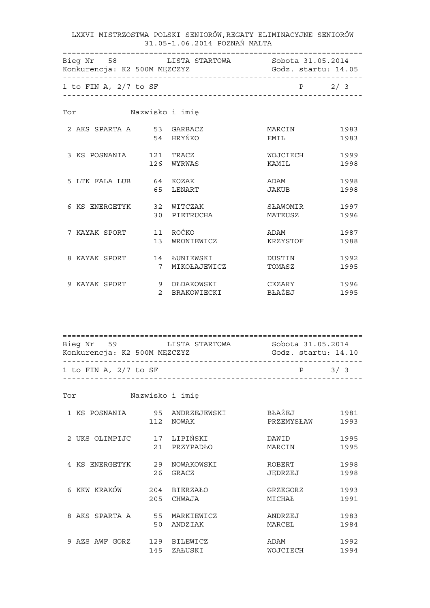LXXVI MISTRZOSTWA POLSKI SENIORÓW,REGATY ELIMINACYJNE SENIORÓW 31.05-1.06.2014 POZNAŃ MALTA ================================================================== Bieg Nr 58 LISTA STARTOWA Sobota 31.05.2014 Konkurencja: K2 500M MĘZCZYZ ------------------------------------------------------------------ 1 to FIN A, 2/7 to SF P 2/ 3 ------------------------------------------------------------------ Tor Nazwisko i imię 2 AKS SPARTA A 53 GARBACZ MARCIN 1983 54 HRYŃKO EMIL 1983 3 KS POSNANIA 121 TRACZ WOJCIECH 1999 126 WYRWAS KAMIL 1998 5 LTK FALA LUB 64 KOZAK ADAM 1998 65 LENART JAKUB 1998 6 KS ENERGETYK 32 WITCZAK SŁAWOMIR 1997 30 PIETRUCHA MATEUSZ 1996 7 KAYAK SPORT 11 ROĆKO ADAM 1987 13 WRONIEWICZ KRZYSTOF 1988 8 KAYAK SPORT 14 ŁUNIEWSKI DUSTIN 1992 7 MIKOŁAJEWICZ TOMASZ 1995 9 KAYAK SPORT 9 OŁDAKOWSKI CEZARY 1996 2 BRAKOWIECKI BŁAŻEJ 1995

 ================================================================== Bieg Nr 59 LISTA STARTOWA Sobota 31.05.2014 Konkurencja: K2 500M MĘZCZYZ Godz. startu: 14.10 ------------------------------------------------------------------ 1 to FIN A, 2/7 to SF P 3/ 3 ------------------------------------------------------------------

#### Tor Nazwisko i imię

| 1 KS POSNANIA     | 95  | ANDRZEJEWSKI    | BŁAŻEJ     | 1981 |
|-------------------|-----|-----------------|------------|------|
|                   | 112 | NOWAK           | PRZEMYSŁAW | 1993 |
| 2 UKS OLIMPIJC    | 17  | LIPIŃSKI        | DAWID      | 1995 |
|                   | 21  | PRZYPADŁO       | MARCIN     | 1995 |
| KS ENERGETYK<br>4 | 29  | NOWAKOWSKI      | ROBERT     | 1998 |
|                   | 26  | GRACZ           | JEDRZEJ    | 1998 |
| 6 KKW KRAKÓW      | 204 | <b>BIERZAŁO</b> | GRZEGORZ   | 1993 |
|                   | 205 | CHWAJA          | MICHAŁ     | 1991 |
| AKS SPARTA A<br>8 | 55  | MARKIEWICZ      | ANDRZEJ    | 1983 |
|                   | 50  | ANDZIAK         | MARCEL     | 1984 |
| 9 AZS AWF GORZ    | 129 | <b>BILEWICZ</b> | ADAM       | 1992 |
|                   | 145 | ZAŁUSKI         | WOJCIECH   | 1994 |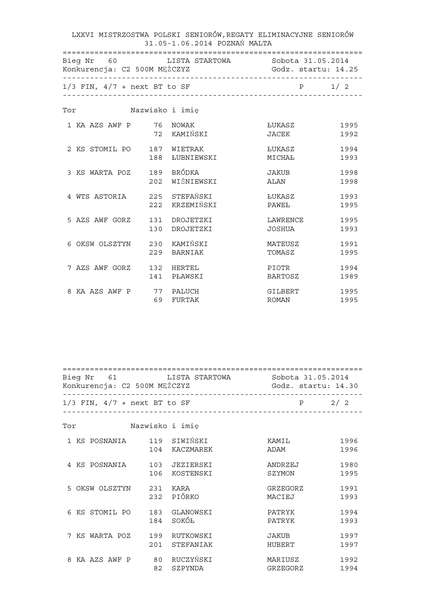|                         | Bieg Nr 60 LISTA STARTOWA Sobota 31.05.2014<br>Konkurencja: C2 500M MĘŻCZYZ COM Godz. startu: 14.25 |                    |              |
|-------------------------|-----------------------------------------------------------------------------------------------------|--------------------|--------------|
|                         | $1/3$ FIN, $4/7$ + next BT to SF                                                                    | $P$ 1/2            |              |
| Tor                     | Nazwisko i imię                                                                                     |                    |              |
| 1 KA AZS AWF P 76 NOWAK | 72 KAMIŃSKI                                                                                         | ŁUKASZ<br>JACEK    | 1995<br>1992 |
| 2 KS STOMIL PO          | 187 WIETRAK<br>188 ŁUBNIEWSKI                                                                       | ŁUKASZ<br>MICHAŁ   | 1994<br>1993 |
| 3 KS WARTA POZ          | 189 BRÓDKA<br>WIŚNIEWSKI<br>202                                                                     | JAKUB<br>ALAN      | 1998<br>1998 |
| 4 WTS ASTORIA           | 225 STEFAŃSKI<br>222 KRZEMIŃSKI                                                                     | ŁUKASZ<br>PAWEŁ    | 1993<br>1995 |
| 5 AZS AWF GORZ          | 131 DROJETZKI<br>DROJETZKI<br>130                                                                   | LAWRENCE<br>JOSHUA | 1995<br>1993 |
| 6 OKSW OLSZTYN          | 230 KAMIŃSKI<br>229 BARNIAK                                                                         | MATEUSZ<br>TOMASZ  | 1991<br>1995 |
| 7 AZS AWF GORZ          | 132 HERTEL<br>141<br>PŁAWSKI                                                                        | PIOTR<br>BARTOSZ   | 1994<br>1989 |
| 8 KA AZS AWF P          | 77 PALUCH<br>69<br>FURTAK                                                                           | GILBERT<br>ROMAN   | 1995<br>1995 |

 ================================================================== Bieg Nr 61 LISTA STARTOWA Sobota 31.05.2014 Konkurencja: C2 500M MĘŻCZYZ Godz. startu: 14.30 ------------------------------------------------------------------  $1/3$  FIN,  $4/7$  + next BT to SF P 2/ 2 ------------------------------------------------------------------ Tor Nazwisko i imię 1 KS POSNANIA 119 SIWIŃSKI KAMIL 1996 104 KACZMAREK ADAM 1996 4 KS POSNANIA 103 JEZIERSKI ANDRZEJ 1980 106 KOSTENSKI SZYMON 1995 5 OKSW OLSZTYN 231 KARA<br>232 PIÓRKO 232 PIÓRKO MACIEJ 1993 6 KS STOMIL PO 183 GLANOWSKI PATRYK 1994 184 SOKÓŁ PATRYK 1993 7 KS WARTA POZ 199 RUTKOWSKI JAKUB 1997 201 STEFANIAK HUBERT 1997 8 KA AZS AWF P 80 RUCZYŃSKI MARIUSZ 1992 82 SZPYNDA GRZEGORZ 1994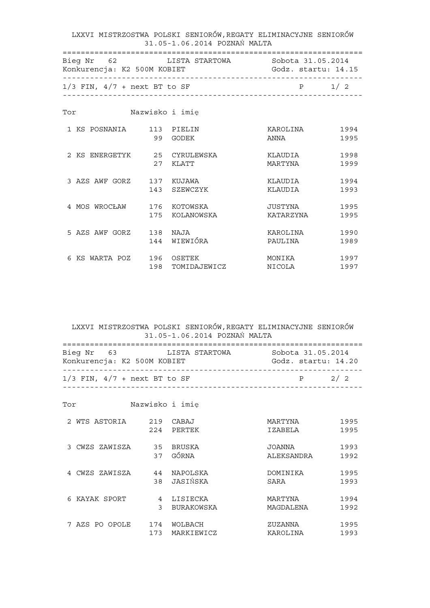LXXVI MISTRZOSTWA POLSKI SENIORÓW,REGATY ELIMINACYJNE SENIORÓW 31.05-1.06.2014 POZNAŃ MALTA ================================================================== Bieg Nr 62 LISTA STARTOWA Sobota 31.05.2014 Konkurencja: K2 500M KOBIET ------------------------------------------------------------------  $1/3$  FIN,  $4/7$  + next BT to SF P 1/2 ------------------------------------------------------------------ Tor Nazwisko i imię 1 KS POSNANIA 113 PIELIN KAROLINA 1994 99 GODEK ANNA 1995 2 KS ENERGETYK 25 CYRULEWSKA KLAUDIA 1998 27 KLATT MARTYNA 1999 3 AZS AWF GORZ 137 KUJAWA KLAUDIA 1994 143 SZEWCZYK KLAUDIA 1993 4 MOS WROCŁAW 176 KOTOWSKA JUSTYNA 1995 175 KOLANOWSKA KATARZYNA 1995 5 AZS AWF GORZ 138 NAJA KAROLINA 1990 144 WIEWIÓRA PAULINA 1989 6 KS WARTA POZ 196 OSETEK MONIKA 1997 198 TOMIDAJEWICZ NICOLA 1997

| Bieg Nr 63<br>Konkurencja: K2 500M KOBIET |   | LISTA STARTOWA  | Sobota 31.05.2014<br>Godz. startu: 14.20 |      |
|-------------------------------------------|---|-----------------|------------------------------------------|------|
| $1/3$ FIN, $4/7$ + next BT to SF          |   |                 |                                          | 2/2  |
|                                           |   |                 |                                          |      |
| Tor                                       |   | Nazwisko i imię |                                          |      |
| 2 WTS ASTORIA 219 CABAJ                   |   |                 | MARTYNA                                  | 1995 |
|                                           |   | 224 PERTEK      | IZABELA                                  | 1995 |
| 3 CWZS ZAWISZA 35 BRUSKA                  |   |                 | JOANNA                                   | 1993 |
|                                           |   | 37 GÓRNA        | ALEKSANDRA                               | 1992 |
| 4 CWZS ZAWISZA                            |   | 44 NAPOLSKA     | DOMINIKA                                 | 1995 |
|                                           |   | 38 JASIŃSKA     | SARA                                     | 1993 |
| 6 KAYAK SPORT                             |   | 4 LISIECKA      | MARTYNA                                  | 1994 |
|                                           | 3 | BURAKOWSKA      | MAGDALENA                                | 1992 |
| 7 AZS PO OPOLE 174 WOLBACH                |   |                 | ZUZANNA                                  | 1995 |
|                                           |   | 173 MARKIEWICZ  | KAROLINA                                 | 1993 |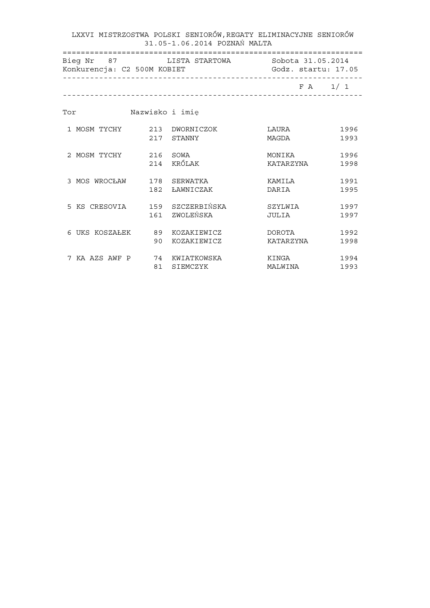LXXVI MISTRZOSTWA POLSKI SENIORÓW,REGATY ELIMINACYJNE SENIORÓW 31.05-1.06.2014 POZNAŃ MALTA ================================================================== Bieg Nr 87 LISTA STARTOWA Sobota 31.05.2014 Konkurencja: C2 500M KOBIET ------------------------------------------------------------------ F A 1/ 1 ------------------------------------------------------------------ Tor Nazwisko i imię 1 MOSM TYCHY 213 DWORNICZOK LAURA 1996 217 STANNY MAGDA 1993 2 MOSM TYCHY 216 SOWA MONIKA 1996 214 KRÓLAK KATARZYNA 1998 3 MOS WROCŁAW 178 SERWATKA KAMILA 1991 182 ŁAWNICZAK DARIA 1995 5 KS CRESOVIA 159 SZCZERBIŃSKA SZYLWIA 1997 161 ZWOLEŃSKA JULIA 1997 6 UKS KOSZAŁEK 89 KOZAKIEWICZ DOROTA 1992 90 KOZAKIEWICZ KATARZYNA 1998 7 KA AZS AWF P 74 KWIATKOWSKA KINGA 1994 81 SIEMCZYK MALWINA 1993